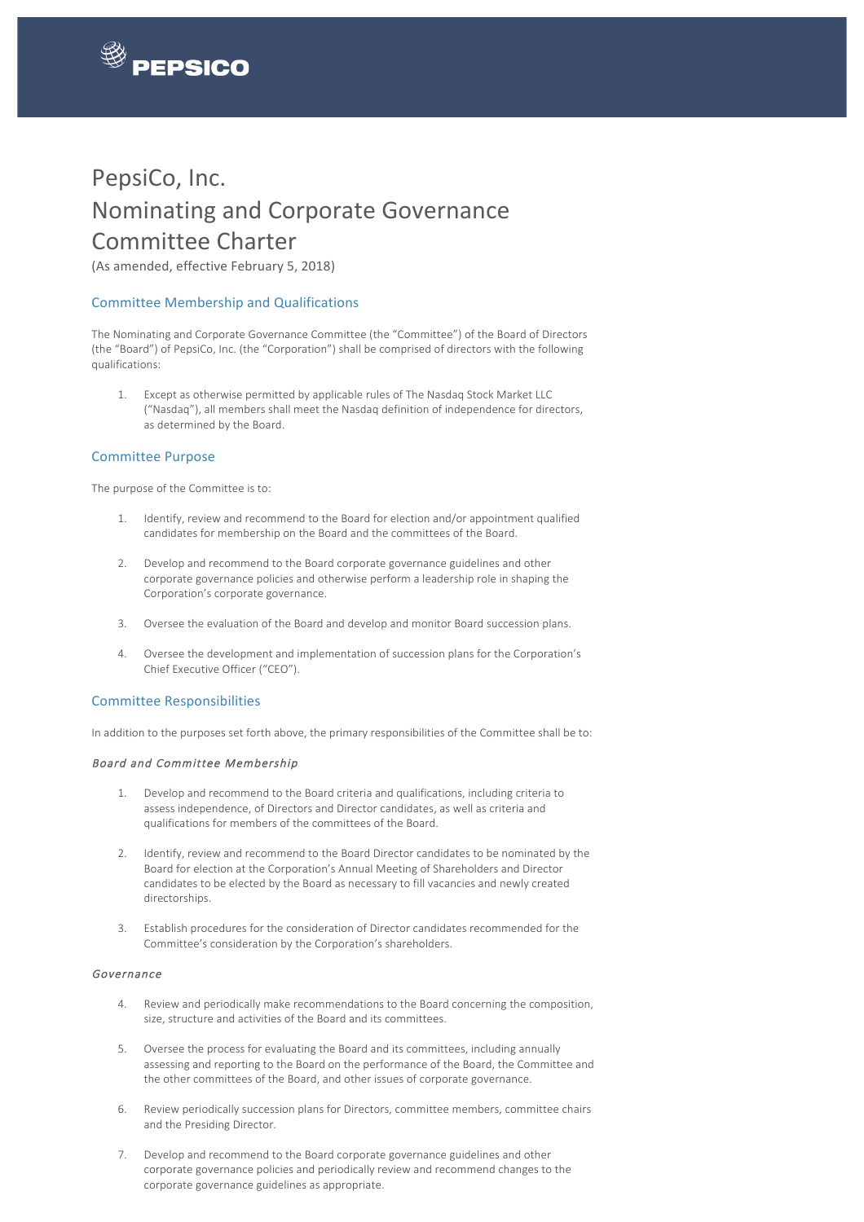

 

# PepsiCo, Inc. Nominating and Corporate Governance Committee Charter

(As amended, effective February 5, 2018)

## Committee Membership and Qualifications

The Nominating and Corporate Governance Committee (the "Committee") of the Board of Directors (the "Board") of PepsiCo, Inc. (the "Corporation") shall be comprised of directors with the following qualifications:

1. Except as otherwise permitted by applicable rules of The Nasdaq Stock Market LLC ("Nasdaq"), all members shall meet the Nasdaq definition of independence for directors, as determined by the Board.

#### Committee Purpose

The purpose of the Committee is to:

- 1. Identify, review and recommend to the Board for election and/or appointment qualified candidates for membership on the Board and the committees of the Board.
- 2. Develop and recommend to the Board corporate governance guidelines and other corporate governance policies and otherwise perform a leadership role in shaping the Corporation's corporate governance.
- 3. Oversee the evaluation of the Board and develop and monitor Board succession plans.
- 4. Oversee the development and implementation of succession plans for the Corporation's Chief Executive Officer ("CEO").

## Committee Responsibilities

In addition to the purposes set forth above, the primary responsibilities of the Committee shall be to:

#### Board and Committee Membership

- 1. Develop and recommend to the Board criteria and qualifications, including criteria to assess independence, of Directors and Director candidates, as well as criteria and qualifications for members of the committees of the Board.
- 2. Identify, review and recommend to the Board Director candidates to be nominated by the Board for election at the Corporation's Annual Meeting of Shareholders and Director candidates to be elected by the Board as necessary to fill vacancies and newly created directorships.
- 3. Establish procedures for the consideration of Director candidates recommended for the Committee's consideration by the Corporation's shareholders.

#### Governance

- 4. Review and periodically make recommendations to the Board concerning the composition, size, structure and activities of the Board and its committees.
- 5. Oversee the process for evaluating the Board and its committees, including annually assessing and reporting to the Board on the performance of the Board, the Committee and the other committees of the Board, and other issues of corporate governance.
- 6. Review periodically succession plans for Directors, committee members, committee chairs and the Presiding Director.
- 7. Develop and recommend to the Board corporate governance guidelines and other corporate governance policies and periodically review and recommend changes to the corporate governance guidelines as appropriate.